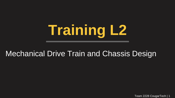# **Training L2**

### Mechanical Drive Train and Chassis Design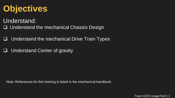# **Objectives**

- Understand:
- □ Understand the mechanical Chassis Design
- $\Box$  Understand the mechanical Drive Train Types
- $\Box$  Understand Center of gravity

Note: References for this training is listed in the mechanical handbook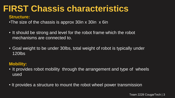### **FIRST Chassis characteristics**

#### **Structure:**

- •The size of the chassis is approx 30in x 30in x 6in
- It should be strong and level for the robot frame which the robot mechanisms are connected to.
- Goal weight to be under 30lbs, total weight of robot is typically under 120lbs

#### **Mobility:**

- It provides robot mobility through the arrangement and type of wheels used
- It provides a structure to mount the robot wheel power transmission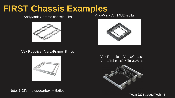### **FIRST Chassis Examples**

#### AndyMark C-frame chassis-9lbs AndyMark Am14U2 -23lbs



Vex Robotics –VersaFrame- 8.4lbs



Note: 1 CIM motor/gearbox  $\sim$  5.6lbs



Vex Robotics –VersaChassis VersaTube-1x2 59in-3.28lbs

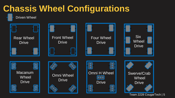

Team 2228 CougarTech | 5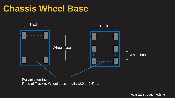### **Chassis Wheel Base**



For agile turning Ratio of Track to Wheel base length: (2.0 to 2.5) : 1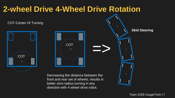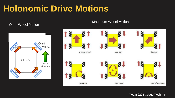### **Holonomic Drive Motions**

#### Omni Wheel Motion



#### Macanum Wheel Motion

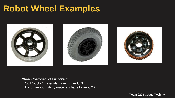### **Robot Wheel Examples**



Wheel Coefficient of Friction(COF): Soft "sticky" materials have higher COF Hard, smooth, shiny materials have lower COF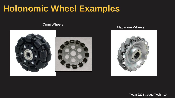### **Holonomic Wheel Examples**

#### Omni Wheels





#### Macanum Wheels

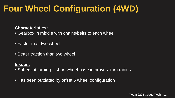# **Four Wheel Configuration (4WD)**

#### **Characteristics:**

• Gearbox in middle with chains/belts to each wheel

- Faster than two wheel
- Better traction than two wheel

#### **Issues:**

- Suffers at turning short wheel base improves turn radius
- Has been outdated by offset 6 wheel configuration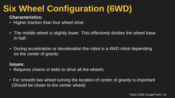# **Six Wheel Configuration (6WD)**

**Characteristics:**

- Higher traction than four wheel drive
- The middle wheel is slightly lower. This effectively divides the wheel base in half.
- During acceleration or deceleration the robot is a 4WD robot depending on the center of gravity

#### **Issues:**

- Requires chains or belts to drive all the wheels
- For smooth two wheel turning the location of center of gravity is important (Should be closer to the center wheel)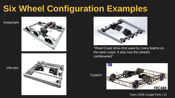## **Six Wheel Configuration Examples**

Andymark



Vex-pro





"West Coast drive first used by many teams on the west coast. It also has the wheels cantilevered"

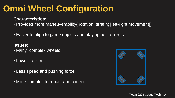# **Omni Wheel Configuration**

#### **Characteristics:**

- Provides more maneuverability( rotation, strafing[left-right movement])
- Easier to align to game objects and playing field objects

**Issues:**

- Fairly complex wheels
- Lower traction
- Less speed and pushing force
- More complex to mount and control

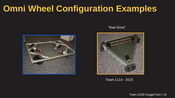# **Omni Wheel Configuration Examples**



#### "Kiwi Drive"



Team 1114 - 2015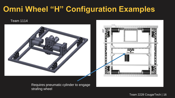### **Omni Wheel "H" Configuration Examples**

#### Team 1114





Requires pneumatic cylinder to engage strafing wheel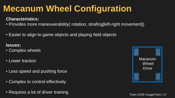# **Mecanum Wheel Configuration**

#### **Characteristics:**

- Provides more maneuverability( rotation, strafing[left-right movement])
- Easier to align to game objects and playing field objects

#### **Issues:**

- Complex wheels
- Lower traction
- Less speed and pushing force
- Complex to control effectively
- Requires a lot of driver training

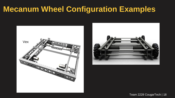### **Mecanum Wheel Configuration Examples**



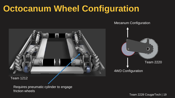### **Octocanum Wheel Configuration**

Mecanum Configuration



Team 1212

Requires pneumatic cylinder to engage friction wheels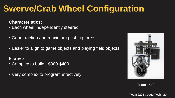# **Swerve/Crab Wheel Configuration**

#### **Characteristics:**

- Each wheel independently steered
- Good traction and maximum pushing force
- Easier to align to game objects and playing field objects

#### **Issues:**

- Complex to build ~\$300-\$400
- Very complex to program effectively



Team 1640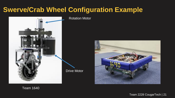### **Swerve/Crab Wheel Configuration Example**



Rotation Motor





Team 1640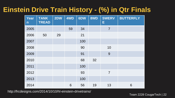### **Einstein Drive Train History - (%) in Qtr Finals**

| <b>Year</b><br>$\mathsf{n}$ | <b>TANK</b><br><b>TREAD</b> | 2DW | 4WD | 6DW | 8WD | <b>SWERV</b><br>Е | <b>BUTTERFLY</b> |
|-----------------------------|-----------------------------|-----|-----|-----|-----|-------------------|------------------|
| 2005                        |                             |     | 59  | 34  |     | $\overline{7}$    |                  |
| 2006                        | 50                          | 29  |     | 21  |     |                   |                  |
| 2007                        |                             |     |     | 100 |     |                   |                  |
| 2008                        |                             |     |     | 90  |     | 10                |                  |
| 2009                        |                             |     |     | 91  |     | 9                 |                  |
| 2010                        |                             |     |     | 68  | 32  |                   |                  |
| 2011                        |                             |     |     | 100 |     |                   |                  |
| 2012                        |                             |     |     | 93  |     | $\overline{7}$    |                  |
| 2013                        |                             |     |     | 100 |     |                   |                  |
| 2014                        |                             |     | 6   | 56  | 19  | 13                | 6                |

http://frcdesigns.com/2014/10/10/hl-einstein-drivetrains/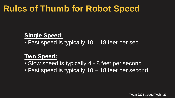### **Rules of Thumb for Robot Speed**

#### **Single Speed:**

• Fast speed is typically 10 – 18 feet per sec

#### **Two Speed:**

- Slow speed is typically 4 8 feet per second
- Fast speed is typically 10 18 feet per second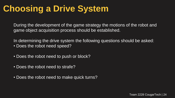# **Choosing a Drive System**

During the development of the game strategy the motions of the robot and game object acquisition process should be established.

In determining the drive system the following questions should be asked: • Does the robot need speed?

- Does the robot need to push or block?
- Does the robot need to strafe?
- Does the robot need to make quick turns?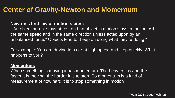### **Center of Gravity-Newton and Momentum**

#### **Newton's first law of motion states:**

"An object at rest stays at rest and an object in motion stays in motion with the same speed and in the same direction unless acted upon by an unbalanced force." Objects tend to "keep on doing what they're doing."

For example: You are driving in a car at high speed and stop quickly. What happens to you?

#### **Momentum:**

When something is moving it has momentum. The heavier it is and the faster it is moving, the harder it is to stop. So momentum is a kind of measurement of how hard it is to stop something in motion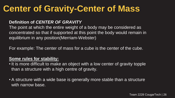### **Center of Gravity-Center of Mass**

#### **Definition of** *CENTER OF GRAVITY*

The point at which the entire weight of a body may be considered as concentrated so that if supported at this point the body would remain in equilibrium in any position(Merriam-Webster)

For example: The center of mass for a cube is the center of the cube.

#### **Some rules for stability:**

- It is more difficult to make an object with a low center of gravity topple than a structure with a high centre of gravity.
- A structure with a wide base is generally more stable than a structure with narrow base.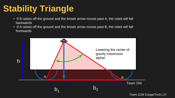# **Stability Triangle**

- If B raises off the ground and the brown arrow moves past A, the robot will fall backwards
- If A raises off the ground and the brown arrow moves past B, the robot will fall frontwards

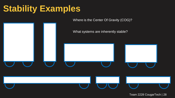# **Stability Examples**

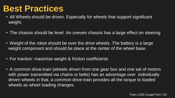### **Best Practices**

- All Wheels should be driven. Especially for wheels that support significant weight.
- The chassis should be level. An uneven chassis has a large effect on steering
- Weight of the robot should be over the drive wheels. The battery is a large weight component and should be place at the center of the wheel base.
- For traction: maximize weight & friction coefficients
- A common drive-train (wheels driven from one gear box and one set of motors with power transmitted via chains or belts) has an advantage over individually driven wheels in that, a common drive-train provides all the torque to loaded wheels as wheel loading changes.